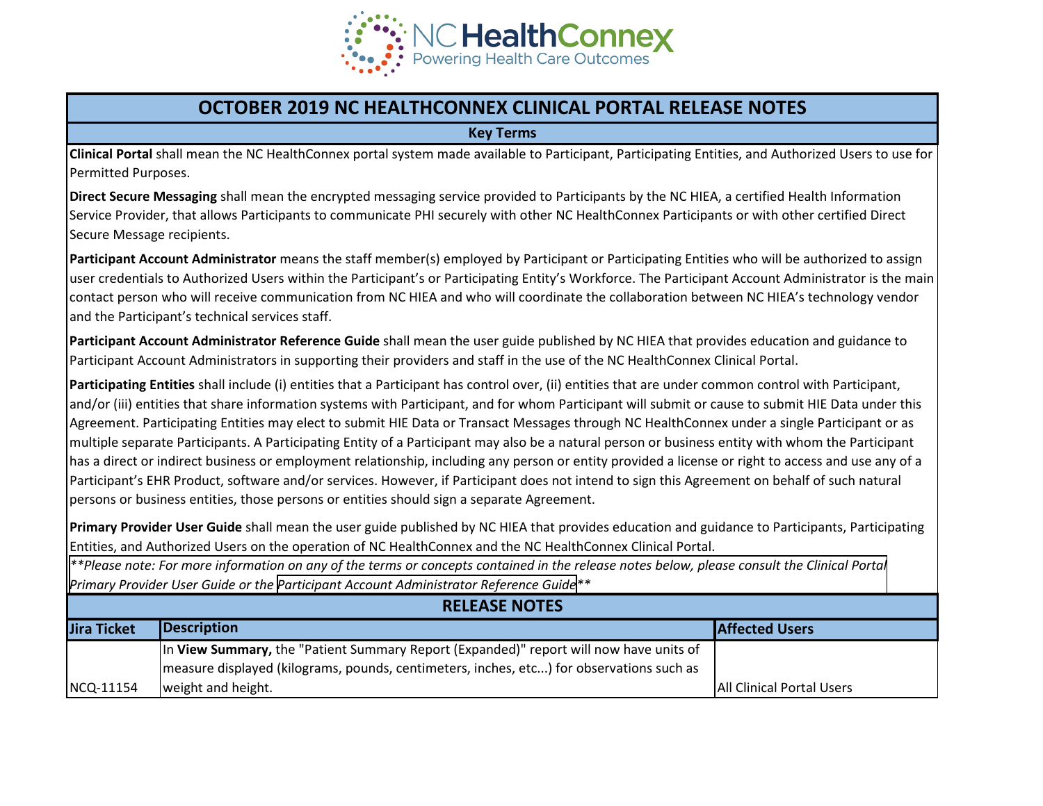

## **OCTOBER 2019 NC HEALTHCONNEX CLINICAL PORTAL RELEASE NOTES**

**Key Terms**

**Clinical Portal** shall mean the NC HealthConnex portal system made available to Participant, Participating Entities, and Authorized Users to use for Permitted Purposes.

**Direct Secure Messaging** shall mean the encrypted messaging service provided to Participants by the NC HIEA, a certified Health Information Service Provider, that allows Participants to communicate PHI securely with other NC HealthConnex Participants or with other certified Direct Secure Message recipients.

**Participant Account Administrator** means the staff member(s) employed by Participant or Participating Entities who will be authorized to assign user credentials to Authorized Users within the Participant's or Participating Entity's Workforce. The Participant Account Administrator is the main contact person who will receive communication from NC HIEA and who will coordinate the collaboration between NC HIEA's technology vendor and the Participant's technical services staff.

**Participant Account Administrator Reference Guide** shall mean the user guide published by NC HIEA that provides education and guidance to Participant Account Administrators in supporting their providers and staff in the use of the NC HealthConnex Clinical Portal.

**Participating Entities** shall include (i) entities that a Participant has control over, (ii) entities that are under common control with Participant, and/or (iii) entities that share information systems with Participant, and for whom Participant will submit or cause to submit HIE Data under this Agreement. Participating Entities may elect to submit HIE Data or Transact Messages through NC HealthConnex under a single Participant or as multiple separate Participants. A Participating Entity of a Participant may also be a natural person or business entity with whom the Participant has a direct or indirect business or employment relationship, including any person or entity provided a license or right to access and use any of a Participant's EHR Product, software and/or services. However, if Participant does not intend to sign this Agreement on behalf of such natural persons or business entities, those persons or entities should sign a separate Agreement.

**Primary Provider User Guide** shall mean the user guide published by NC HIEA that provides education and guidance to Participants, Participating Entities, and Authorized Users on the operation of NC HealthConnex and the NC HealthConnex Clinical Portal.

*[\\*\\*Please note: For more information on any of the terms or concepts contained in the release notes below, please consult the Clinical Portal](https://hiea.nc.gov/documents/nc-hiea-primary-provider-user-guide) Primary Provider User Guide or the [Participant Account Administrator Reference Guide](https://hiea.nc.gov/documents/participant-account-administrator-user-guide)\*\**

| <b>RELEASE NOTES</b> |                                                                                          |                                  |  |  |
|----------------------|------------------------------------------------------------------------------------------|----------------------------------|--|--|
| Jira Ticket          | Description                                                                              | <b>Affected Users</b>            |  |  |
|                      | In View Summary, the "Patient Summary Report (Expanded)" report will now have units of   |                                  |  |  |
|                      | measure displayed (kilograms, pounds, centimeters, inches, etc) for observations such as |                                  |  |  |
| NCQ-11154            | weight and height.                                                                       | <b>All Clinical Portal Users</b> |  |  |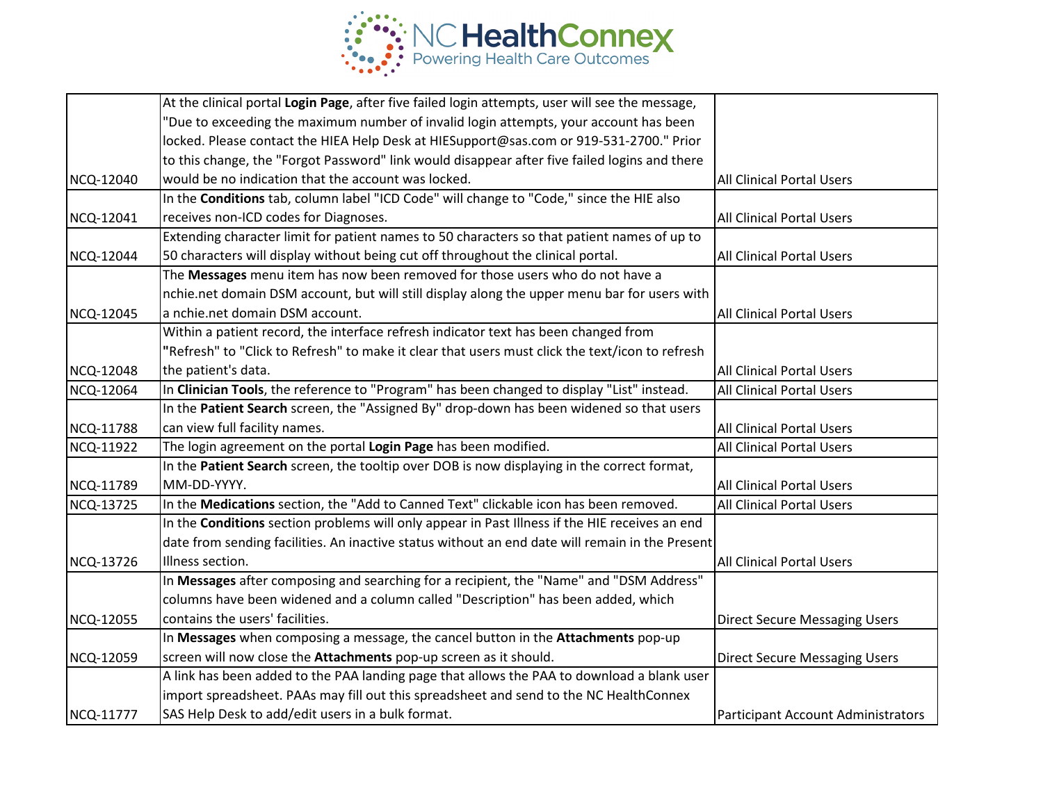

|                  | At the clinical portal Login Page, after five failed login attempts, user will see the message, |                                      |
|------------------|-------------------------------------------------------------------------------------------------|--------------------------------------|
|                  | "Due to exceeding the maximum number of invalid login attempts, your account has been           |                                      |
|                  | locked. Please contact the HIEA Help Desk at HIESupport@sas.com or 919-531-2700." Prior         |                                      |
|                  | to this change, the "Forgot Password" link would disappear after five failed logins and there   |                                      |
| NCQ-12040        | would be no indication that the account was locked.                                             | <b>All Clinical Portal Users</b>     |
|                  | In the Conditions tab, column label "ICD Code" will change to "Code," since the HIE also        |                                      |
| NCQ-12041        | receives non-ICD codes for Diagnoses.                                                           | All Clinical Portal Users            |
|                  | Extending character limit for patient names to 50 characters so that patient names of up to     |                                      |
| NCQ-12044        | 50 characters will display without being cut off throughout the clinical portal.                | All Clinical Portal Users            |
|                  | The Messages menu item has now been removed for those users who do not have a                   |                                      |
|                  | nchie.net domain DSM account, but will still display along the upper menu bar for users with    |                                      |
| <b>NCQ-12045</b> | a nchie.net domain DSM account.                                                                 | <b>All Clinical Portal Users</b>     |
|                  | Within a patient record, the interface refresh indicator text has been changed from             |                                      |
|                  | "Refresh" to "Click to Refresh" to make it clear that users must click the text/icon to refresh |                                      |
| NCQ-12048        | the patient's data.                                                                             | All Clinical Portal Users            |
| <b>NCQ-12064</b> | In Clinician Tools, the reference to "Program" has been changed to display "List" instead.      | All Clinical Portal Users            |
|                  | In the Patient Search screen, the "Assigned By" drop-down has been widened so that users        |                                      |
| NCQ-11788        | can view full facility names.                                                                   | All Clinical Portal Users            |
| <b>NCQ-11922</b> | The login agreement on the portal Login Page has been modified.                                 | All Clinical Portal Users            |
|                  | In the Patient Search screen, the tooltip over DOB is now displaying in the correct format,     |                                      |
| NCQ-11789        | MM-DD-YYYY.                                                                                     | <b>All Clinical Portal Users</b>     |
| NCQ-13725        | In the Medications section, the "Add to Canned Text" clickable icon has been removed.           | All Clinical Portal Users            |
|                  | In the Conditions section problems will only appear in Past Illness if the HIE receives an end  |                                      |
|                  | date from sending facilities. An inactive status without an end date will remain in the Present |                                      |
| NCQ-13726        | Illness section.                                                                                | <b>All Clinical Portal Users</b>     |
|                  | In Messages after composing and searching for a recipient, the "Name" and "DSM Address"         |                                      |
|                  | columns have been widened and a column called "Description" has been added, which               |                                      |
| <b>NCQ-12055</b> | contains the users' facilities.                                                                 | <b>Direct Secure Messaging Users</b> |
|                  | In Messages when composing a message, the cancel button in the Attachments pop-up               |                                      |
| NCQ-12059        | screen will now close the Attachments pop-up screen as it should.                               | <b>Direct Secure Messaging Users</b> |
|                  | A link has been added to the PAA landing page that allows the PAA to download a blank user      |                                      |
|                  | import spreadsheet. PAAs may fill out this spreadsheet and send to the NC HealthConnex          |                                      |
| NCQ-11777        | SAS Help Desk to add/edit users in a bulk format.                                               | Participant Account Administrators   |